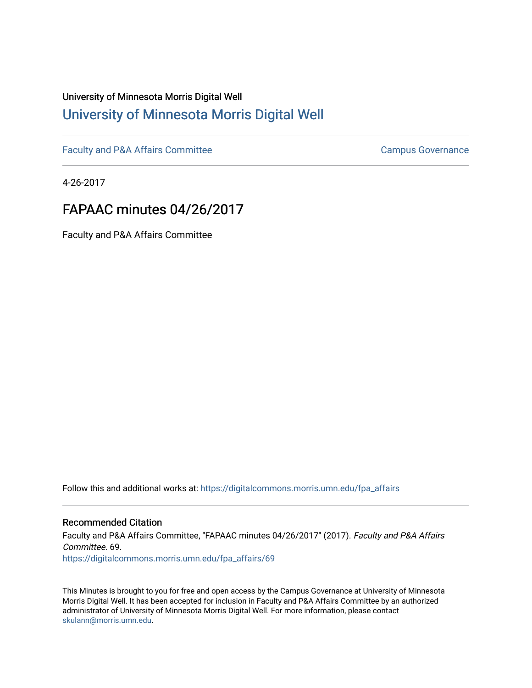## University of Minnesota Morris Digital Well [University of Minnesota Morris Digital Well](https://digitalcommons.morris.umn.edu/)

[Faculty and P&A Affairs Committee](https://digitalcommons.morris.umn.edu/fpa_affairs) [Campus Governance](https://digitalcommons.morris.umn.edu/campgov) Campus Governance

4-26-2017

# FAPAAC minutes 04/26/2017

Faculty and P&A Affairs Committee

Follow this and additional works at: [https://digitalcommons.morris.umn.edu/fpa\\_affairs](https://digitalcommons.morris.umn.edu/fpa_affairs?utm_source=digitalcommons.morris.umn.edu%2Ffpa_affairs%2F69&utm_medium=PDF&utm_campaign=PDFCoverPages)

### Recommended Citation

Faculty and P&A Affairs Committee, "FAPAAC minutes 04/26/2017" (2017). Faculty and P&A Affairs Committee. 69. [https://digitalcommons.morris.umn.edu/fpa\\_affairs/69](https://digitalcommons.morris.umn.edu/fpa_affairs/69?utm_source=digitalcommons.morris.umn.edu%2Ffpa_affairs%2F69&utm_medium=PDF&utm_campaign=PDFCoverPages) 

This Minutes is brought to you for free and open access by the Campus Governance at University of Minnesota Morris Digital Well. It has been accepted for inclusion in Faculty and P&A Affairs Committee by an authorized administrator of University of Minnesota Morris Digital Well. For more information, please contact [skulann@morris.umn.edu.](mailto:skulann@morris.umn.edu)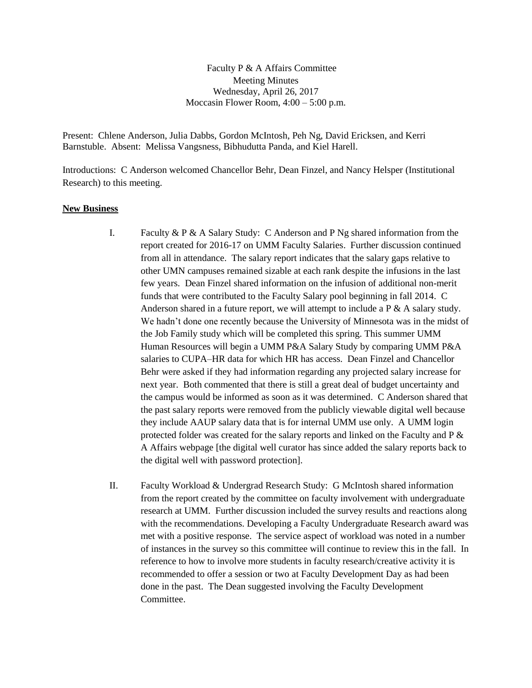Faculty P & A Affairs Committee Meeting Minutes Wednesday, April 26, 2017 Moccasin Flower Room, 4:00 – 5:00 p.m.

Present: Chlene Anderson, Julia Dabbs, Gordon McIntosh, Peh Ng, David Ericksen, and Kerri Barnstuble. Absent: Melissa Vangsness, Bibhudutta Panda, and Kiel Harell.

Introductions: C Anderson welcomed Chancellor Behr, Dean Finzel, and Nancy Helsper (Institutional Research) to this meeting.

#### **New Business**

- I. Faculty & P & A Salary Study: C Anderson and P Ng shared information from the report created for 2016-17 on UMM Faculty Salaries. Further discussion continued from all in attendance. The salary report indicates that the salary gaps relative to other UMN campuses remained sizable at each rank despite the infusions in the last few years. Dean Finzel shared information on the infusion of additional non-merit funds that were contributed to the Faculty Salary pool beginning in fall 2014. C Anderson shared in a future report, we will attempt to include a P & A salary study. We hadn't done one recently because the University of Minnesota was in the midst of the Job Family study which will be completed this spring. This summer UMM Human Resources will begin a UMM P&A Salary Study by comparing UMM P&A salaries to CUPA–HR data for which HR has access. Dean Finzel and Chancellor Behr were asked if they had information regarding any projected salary increase for next year. Both commented that there is still a great deal of budget uncertainty and the campus would be informed as soon as it was determined. C Anderson shared that the past salary reports were removed from the publicly viewable digital well because they include AAUP salary data that is for internal UMM use only. A UMM login protected folder was created for the salary reports and linked on the Faculty and P & A Affairs webpage [the digital well curator has since added the salary reports back to the digital well with password protection].
- II. Faculty Workload & Undergrad Research Study: G McIntosh shared information from the report created by the committee on faculty involvement with undergraduate research at UMM. Further discussion included the survey results and reactions along with the recommendations. Developing a Faculty Undergraduate Research award was met with a positive response. The service aspect of workload was noted in a number of instances in the survey so this committee will continue to review this in the fall. In reference to how to involve more students in faculty research/creative activity it is recommended to offer a session or two at Faculty Development Day as had been done in the past. The Dean suggested involving the Faculty Development Committee.